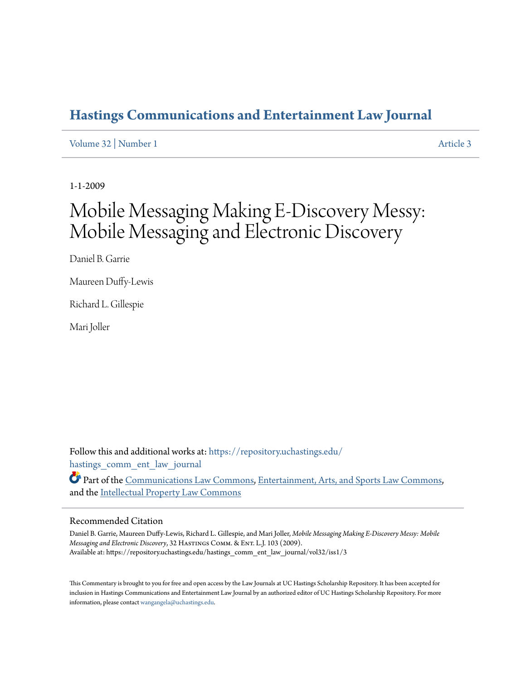## **[Hastings Communications and Entertainment Law Journal](https://repository.uchastings.edu/hastings_comm_ent_law_journal?utm_source=repository.uchastings.edu%2Fhastings_comm_ent_law_journal%2Fvol32%2Fiss1%2F3&utm_medium=PDF&utm_campaign=PDFCoverPages)**

[Volume 32](https://repository.uchastings.edu/hastings_comm_ent_law_journal/vol32?utm_source=repository.uchastings.edu%2Fhastings_comm_ent_law_journal%2Fvol32%2Fiss1%2F3&utm_medium=PDF&utm_campaign=PDFCoverPages) | [Number 1](https://repository.uchastings.edu/hastings_comm_ent_law_journal/vol32/iss1?utm_source=repository.uchastings.edu%2Fhastings_comm_ent_law_journal%2Fvol32%2Fiss1%2F3&utm_medium=PDF&utm_campaign=PDFCoverPages) [Article 3](https://repository.uchastings.edu/hastings_comm_ent_law_journal/vol32/iss1/3?utm_source=repository.uchastings.edu%2Fhastings_comm_ent_law_journal%2Fvol32%2Fiss1%2F3&utm_medium=PDF&utm_campaign=PDFCoverPages)

1-1-2009

## Mobile Messaging Making E-Discovery Messy: Mobile Messaging and Electronic Discovery

Daniel B. Garrie

Maureen Duffy-Lewis

Richard L. Gillespie

Mari Joller

Follow this and additional works at: [https://repository.uchastings.edu/](https://repository.uchastings.edu/hastings_comm_ent_law_journal?utm_source=repository.uchastings.edu%2Fhastings_comm_ent_law_journal%2Fvol32%2Fiss1%2F3&utm_medium=PDF&utm_campaign=PDFCoverPages) [hastings\\_comm\\_ent\\_law\\_journal](https://repository.uchastings.edu/hastings_comm_ent_law_journal?utm_source=repository.uchastings.edu%2Fhastings_comm_ent_law_journal%2Fvol32%2Fiss1%2F3&utm_medium=PDF&utm_campaign=PDFCoverPages)

Part of the [Communications Law Commons,](http://network.bepress.com/hgg/discipline/587?utm_source=repository.uchastings.edu%2Fhastings_comm_ent_law_journal%2Fvol32%2Fiss1%2F3&utm_medium=PDF&utm_campaign=PDFCoverPages) [Entertainment, Arts, and Sports Law Commons,](http://network.bepress.com/hgg/discipline/893?utm_source=repository.uchastings.edu%2Fhastings_comm_ent_law_journal%2Fvol32%2Fiss1%2F3&utm_medium=PDF&utm_campaign=PDFCoverPages) and the [Intellectual Property Law Commons](http://network.bepress.com/hgg/discipline/896?utm_source=repository.uchastings.edu%2Fhastings_comm_ent_law_journal%2Fvol32%2Fiss1%2F3&utm_medium=PDF&utm_campaign=PDFCoverPages)

## Recommended Citation

Daniel B. Garrie, Maureen Duffy-Lewis, Richard L. Gillespie, and Mari Joller, *Mobile Messaging Making E-Discovery Messy: Mobile Messaging and Electronic Discovery*, 32 Hastings Comm. & Ent. L.J. 103 (2009). Available at: https://repository.uchastings.edu/hastings\_comm\_ent\_law\_journal/vol32/iss1/3

This Commentary is brought to you for free and open access by the Law Journals at UC Hastings Scholarship Repository. It has been accepted for inclusion in Hastings Communications and Entertainment Law Journal by an authorized editor of UC Hastings Scholarship Repository. For more information, please contact [wangangela@uchastings.edu](mailto:wangangela@uchastings.edu).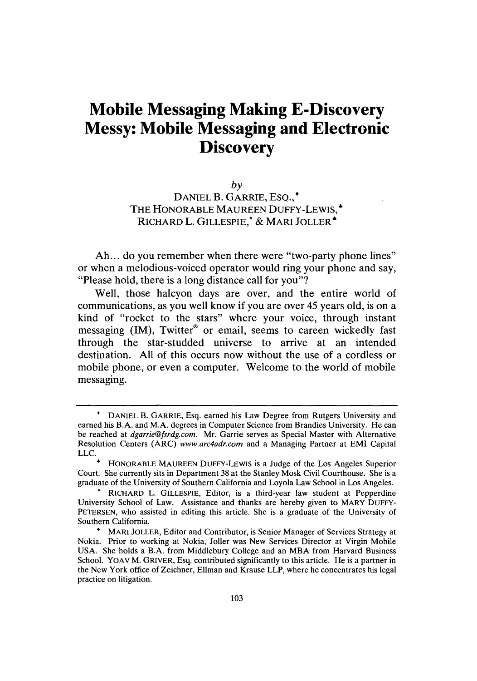## **Mobile Messaging Making E-Discovery Messy: Mobile Messaging and Electronic Discovery**

*by* DANIEL B. GARRIE, ESQ., THE HONORABLE MAUREEN DUFFY-LEWIS,\* RICHARD L. GILLESPIE, \* & MARI JOLLER<sup>\*</sup>

Ah... do you remember when there were "two-party phone lines" or when a melodious-voiced operator would ring your phone and say, "Please hold, there is a long distance call for you"?

Well, those halcyon days are over, and the entire world of communications, as you well know if you are over 45 years old, is on a kind of "rocket to the stars" where your voice, through instant messaging (IM), Twitter® or email, seems to careen wickedly fast through the star-studded universe to arrive at an intended destination. All of this occurs now without the use of a cordless or mobile phone, or even a computer. Welcome to the world of mobile messaging.

**<sup>0</sup>** DANIEL B. GARRIE, Esq. earned his Law Degree from Rutgers University and earned his B.A. and M.A. degrees in Computer Science from Brandies University. He can be reached at *dgarrie@fsrdg.com.* Mr. Garrie serves as Special Master with Alternative Resolution Centers (ARC) *www.arc4adr.com* and a Managing Partner at EMI Capital

HONORABLE MAUREEN DUFFY-LEWIS is a Judge of the Los Angeles Superior Court. She currently sits in Department 38 at the Stanley Mosk Civil Courthouse. She is a graduate of the University of Southern California and Loyola Law School in Los Angeles. **.** RICHARD L. GILLESPIE, Editor, is a third-year law student at Pepperdine

University School of Law. Assistance and thanks are hereby given to MARY DUFFY-PETERSEN, who assisted in editing this article. She is a graduate of the University of Southern California.

**<sup>6</sup>** MARl JOLLER, Editor and Contributor, is Senior Manager of Services Strategy at Nokia. Prior to working at Nokia, Joller was New Services Director at Virgin Mobile USA. She holds a B.A. from Middlebury College and an MBA from Harvard Business School. YOAV M. GRIVER, Esq. contributed significantly to this article. He is a partner in the New York office of Zeichner, Ellman and Krause LLP, where he concentrates his legal practice on litigation.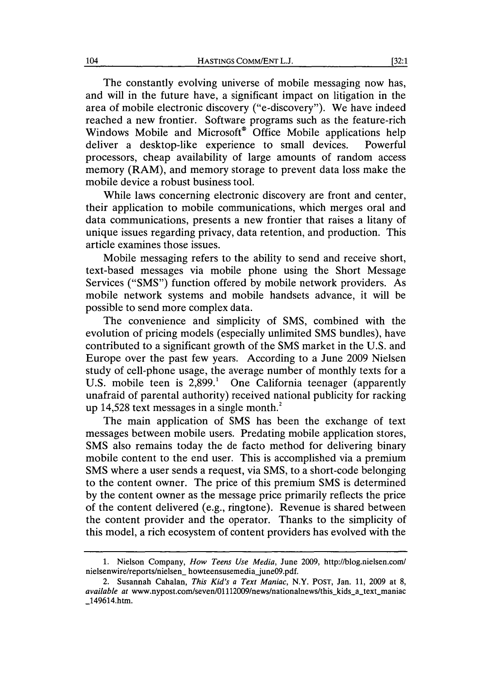The constantly evolving universe of mobile messaging now has, and will in the future have, a significant impact on litigation in the area of mobile electronic discovery ("e-discovery"). We have indeed reached a new frontier. Software programs such as the feature-rich Windows Mobile and Microsoft<sup>®</sup> Office Mobile applications help deliver a desktop-like experience to small devices. Powerful processors, cheap availability of large amounts of random access memory (RAM), and memory storage to prevent data loss make the mobile device a robust business tool.

While laws concerning electronic discovery are front and center, their application to mobile communications, which merges oral and data communications, presents a new frontier that raises a litany of unique issues regarding privacy, data retention, and production. This article examines those issues.

Mobile messaging refers to the ability to send and receive short, text-based messages via mobile phone using the Short Message Services ("SMS") function offered by mobile network providers. As mobile network systems and mobile handsets advance, it will be possible to send more complex data.

The convenience and simplicity of SMS, combined with the evolution of pricing models (especially unlimited SMS bundles), have contributed to a significant growth of the SMS market in the U.S. and Europe over the past few years. According to a June 2009 Nielsen study of cell-phone usage, the average number of monthly texts for a U.S. mobile teen is  $2,899$ <sup>1</sup> One California teenager (apparently unafraid of parental authority) received national publicity for racking up 14,528 text messages in a single month. $^{2}$ 

The main application of SMS has been the exchange of text messages between mobile users. Predating mobile application stores, SMS also remains today the de facto method for delivering binary mobile content to the end user. This is accomplished via a premium SMS where a user sends a request, via SMS, to a short-code belonging to the content owner. The price of this premium SMS is determined by the content owner as the message price primarily reflects the price of the content delivered (e.g., ringtone). Revenue is shared between the content provider and the operator. Thanks to the simplicity of this model, a rich ecosystem of content providers has evolved with the

<sup>1.</sup> Nielson Company, *How Teens Use Media,* June 2009, http://blog.nielsen.com/ nielsenwire/reports/nielsen\_ howteensusemedia-june09.pdf.

<sup>2.</sup> Susannah Cahalan, *This Kid's a Text Maniac,* N.Y. POST, Jan. 11, 2009 at 8, *available at www.nypost.com/seven/01112009/news/nationalnews/this\_kids\_a\_text\_maniac* \_149614.htm.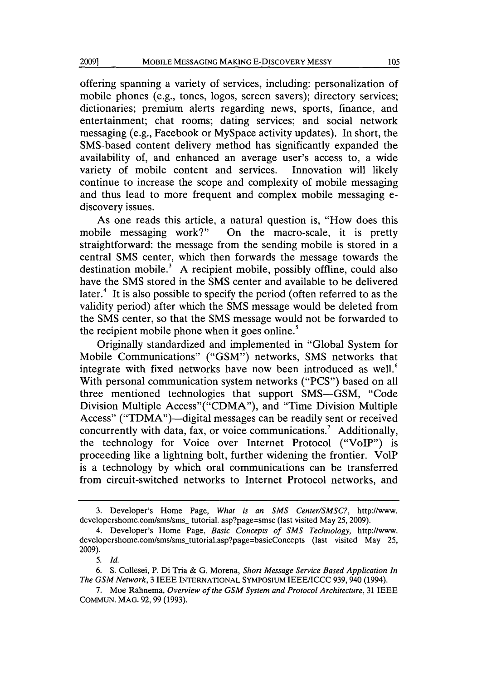offering spanning a variety of services, including: personalization of mobile phones (e.g., tones, logos, screen savers); directory services; dictionaries; premium alerts regarding news, sports, finance, and entertainment; chat rooms; dating services; and social network messaging (e.g., Facebook or MySpace activity updates). In short, the SMS-based content delivery method has significantly expanded the availability of, and enhanced an average user's access to, a wide variety of mobile content and services. Innovation will likely continue to increase the scope and complexity of mobile messaging and thus lead to more frequent and complex mobile messaging ediscovery issues.

As one reads this article, a natural question is, "How does this mobile messaging work?" On the macro-scale, it is pretty straightforward: the message from the sending mobile is stored in a central SMS center, which then forwards the message towards the destination mobile.<sup>3</sup> A recipient mobile, possibly offline, could also have the SMS stored in the SMS center and available to be delivered later.<sup>4</sup> It is also possible to specify the period (often referred to as the validity period) after which the SMS message would be deleted from the SMS center, so that the SMS message would not be forwarded to the recipient mobile phone when it goes online.<sup>5</sup>

Originally standardized and implemented in "Global System for Mobile Communications" ("GSM") networks, SMS networks that integrate with fixed networks have now been introduced as well.<sup>6</sup> With personal communication system networks ("PCS") based on all three mentioned technologies that support SMS-GSM, "Code Division Multiple Access"("CDMA"), and "Time Division Multiple Access" ("TDMA")—digital messages can be readily sent or received concurrently with data, fax, or voice communications.<sup>7</sup> Additionally, the technology for Voice over Internet Protocol ("VoIP") is proceeding like a lightning bolt, further widening the frontier. VolP is a technology by which oral communications can be transferred from circuit-switched networks to Internet Protocol networks, and

**20091**

<sup>3.</sup> Developer's Home Page, *What is an SMS Center/SMSC?,* http://www. developershome.com/sms/sms\_ tutorial. asp?page=smsc (last visited May 25, 2009).

<sup>4.</sup> Developer's Home Page, *Basic Concepts of SMS Technology,* http://www. developershome.com/sms/sms-tutorial.asp?page=basicConcepts (last visited May 25, 2009).

*<sup>5.</sup> Id.*

<sup>6.</sup> **S.** Collesei, P. Di Tria & G. Morena, *Short Message Service Based Application In The GSM Network,* 3 IEEE **INTERNATIONAL** SYMPOSIUM IEEE/ICCC 939, 940 (1994).

<sup>7.</sup> Moe Rahnema, *Overview of the GSM System and Protocol Architecture,* 31 IEEE COMMUN. MAG. 92,99 (1993).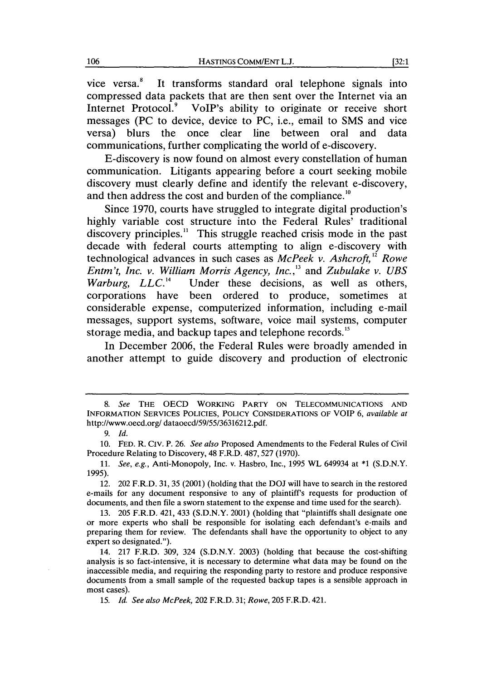vice versa.<sup>8</sup> It transforms standard oral telephone signals into compressed data packets that are then sent over the Internet via an Internet Protocol.<sup>9</sup> VoIP's ability to originate or receive short messages (PC to device, device to PC, i.e., email to SMS and vice versa) blurs the once clear line between oral and data communications, further complicating the world of e-discovery.

E-discovery is now found on almost every constellation of human communication. Litigants appearing before a court seeking mobile discovery must clearly define and identify the relevant e-discovery, and then address the cost and burden of the compliance."

Since 1970, courts have struggled to integrate digital production's highly variable cost structure into the Federal Rules' traditional discovery principles.<sup>11</sup> This struggle reached crisis mode in the past decade with federal courts attempting to align e-discovery with technological advances in such cases as *McPeek v. Ashcroft*,<sup>12</sup> Rowe *Entm't, Inc. v. William Morris Agency, Inc.,3* and *Zubulake v. UBS Warburg, LLC."4* Under these decisions, as well as others, corporations have been ordered to produce, sometimes at considerable expense, computerized information, including e-mail messages, support systems, software, voice mail systems, computer storage media, and backup tapes and telephone records.<sup>15</sup>

In December 2006, the Federal Rules were broadly amended in another attempt to guide discovery and production of electronic

*<sup>8.</sup> See* THE OECD WORKING PARTY **ON TELECOMMUNICATIONS AND** INFORMATION SERVICES POLICIES, POLICY CONSIDERATIONS OF VOIP 6, *available at* http://www.oecd.org/ dataoecd/59/55/36316212.pdf.

*<sup>9.</sup> Id.*

<sup>10.</sup> FED. R. CIV. P. 26. *See also* Proposed Amendments to the Federal Rules of Civil Procedure Relating to Discovery, 48 F.R.D. 487, 527 (1970).

<sup>11.</sup> *See, e.g.,* Anti-Monopoly, Inc. v. Hasbro, Inc., 1995 WL 649934 at **\*1** (S.D.N.Y. **1995).**

<sup>12. 202</sup> F.R.D. 31, 35 (2001) (holding that the DOJ will have to search in the restored e-mails for any document responsive to any of plaintiff's requests for production of documents, and then file a sworn statement to the expense and time used for the search).

<sup>13. 205</sup> F.R.D. 421, 433 (S.D.N.Y. 2001) (holding that "plaintiffs shall designate one or more experts who shall be responsible for isolating each defendant's e-mails and preparing them for review. The defendants shall have the opportunity to object to any expert so designated.").

<sup>14. 217</sup> F.R.D. 309, 324 (S.D.N.Y. 2003) (holding that because the cost-shifting analysis is so fact-intensive, it is necessary to determine what data may be found on the inaccessible media, and requiring the responding party to restore and produce responsive documents from a small sample of the requested backup tapes is a sensible approach in most cases).

<sup>15.</sup> *Id. See also McPeek,* 202 F.R.D. 31; *Rowe,* 205 F.R.D. 421.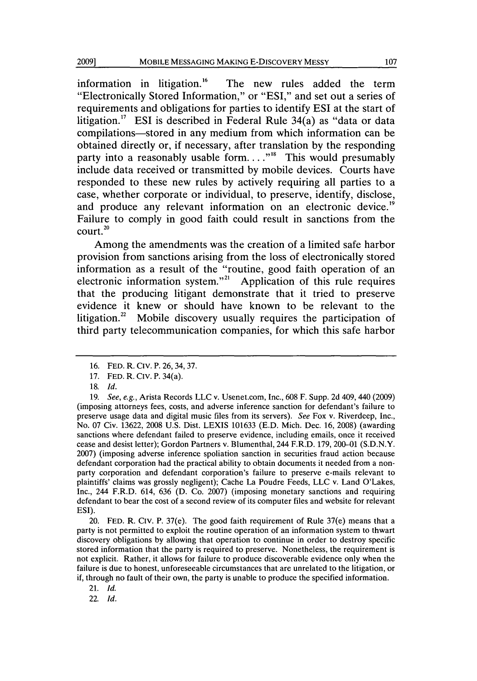information in litigation.<sup>16</sup> The new rules added the term "Electronically Stored Information," or **"ESI,"** and set out a series of requirements and obligations for parties to identify **ESI** at the start of litigation.<sup>17</sup> ESI is described in Federal Rule 34(a) as "data or data compilations-stored in any medium from which information can be obtained directly or, if necessary, after translation **by** the responding party into a reasonably usable form. . . .<sup>88</sup> This would presumably include data received or transmitted **by** mobile devices. Courts have responded to these new rules **by** actively requiring all parties to a case, whether corporate or individual, to preserve, identify, disclose, and produce any relevant information on an electronic device.<sup>19</sup> Failure to comply in good faith could result in sanctions from the court. <sup>20</sup>

Among the amendments was the creation of a limited safe harbor provision from sanctions arising from the loss of electronically stored information as a result of the "routine, good faith operation of an electronic information system."<sup>21</sup> Application of this rule requires that the producing litigant demonstrate that it tried to preserve evidence it knew or should have known to be relevant to the litigation. $2^2$  Mobile discovery usually requires the participation of third party telecommunication companies, for which this safe harbor

20. **FED.** R. **Civ.** P. 37(e). The good faith requirement of Rule 37(e) means that a party is not permitted to exploit the routine operation of an information system to thwart discovery obligations **by** allowing that operation to continue in order to destroy specific stored information that the party is required to preserve. Nonetheless, the requirement is not explicit. Rather, it allows for failure to produce discoverable evidence only when the failure is due to honest, unforeseeable circumstances that are unrelated to the litigation, or if, through no fault of their own, the party is unable to produce the specified information.

21. *Id.*

**22.** *Id.*

**<sup>16.</sup>** FED. R. **Civ.** P. 26,34, **37.**

**<sup>17.</sup> FED.** R. CIV. P. 34(a).

**<sup>18.</sup>** *Id.*

**<sup>19.</sup>** *See, e.g.,* Arista Records LLC v. Usenet.com, Inc., 608 F. Supp. 2d 409, 440 (2009) (imposing attorneys fees, costs, and adverse inference sanction for defendant's failure to preserve usage data and digital music files from its servers). *See* Fox v. Riverdeep, Inc., No. 07 Civ. 13622, 2008 U.S. Dist. LEXIS 101633 (E.D. Mich. Dec. 16, 2008) (awarding sanctions where defendant failed to preserve evidence, including emails, once it received cease and desist letter); Gordon Partners v. Blumenthal, 244 F.R.D. 179, 200-01 (S.D.N.Y. 2007) (imposing adverse inference spoliation sanction in securities fraud action because defendant corporation had the practical ability to obtain documents **it** needed from a nonparty corporation and defendant corporation's failure to preserve e-mails relevant to plaintiffs' claims was grossly negligent); Cache La Poudre Feeds, LLC v. Land O'Lakes, Inc., 244 F.R.D. 614, 636 (D. Co. 2007) (imposing monetary sanctions and requiring defendant to bear the cost of a second review of its computer files and website for relevant ESI).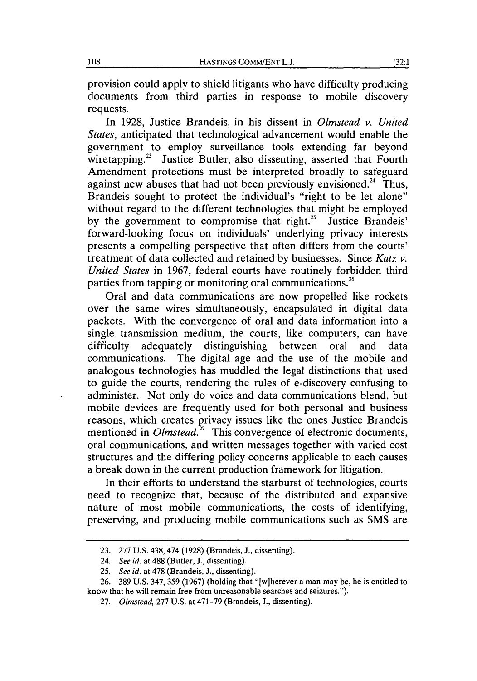provision could apply to shield litigants who have difficulty producing documents from third parties in response to mobile discovery requests.

In 1928, Justice Brandeis, in his dissent in *Olmstead v. United States,* anticipated that technological advancement would enable the government to employ surveillance tools extending far beyond wiretapping.<sup>23</sup> Justice Butler, also dissenting, asserted that Fourth Amendment protections must be interpreted broadly to safeguard against new abuses that had not been previously envisioned.<sup>24</sup> Thus, Brandeis sought to protect the individual's "right to be let alone" without regard to the different technologies that might be employed by the government to compromise that right.<sup>25</sup> Justice Brandeis' forward-looking focus on individuals' underlying privacy interests presents a compelling perspective that often differs from the courts' treatment of data collected and retained by businesses. Since *Katz v. United States* in 1967, federal courts have routinely forbidden third parties from tapping or monitoring oral communications.<sup>26</sup>

Oral and data communications are now propelled like rockets over the same wires simultaneously, encapsulated in digital data packets. With the convergence of oral and data information into a single transmission medium, the courts, like computers, can have difficulty adequately distinguishing between oral and data communications. The digital age and the use of the mobile and analogous technologies has muddled the legal distinctions that used to guide the courts, rendering the rules of e-discovery confusing to administer. Not only do voice and data communications blend, but mobile devices are frequently used for both personal and business reasons, which creates privacy issues like the ones Justice Brandeis mentioned in *Olmstead*<sup>27</sup> This convergence of electronic documents, oral communications, and written messages together with varied cost structures and the differing policy concerns applicable to each causes a break down in the current production framework for litigation.

In their efforts to understand the starburst of technologies, courts need to recognize that, because of the distributed and expansive nature of most mobile communications, the costs of identifying, preserving, and producing mobile communications such as SMS are

<sup>23. 277</sup> U.S. 438, 474 (1928) (Brandeis, J., dissenting).

<sup>24.</sup> *See id.* at 488 (Butler, **J.,** dissenting).

<sup>25.</sup> *See id.* at 478 (Brandeis, **J.,** dissenting).

<sup>26. 389</sup> U.S. 347, 359 (1967) (holding that "[w]herever a man may be, he is entitled to know that he will remain free from unreasonable searches and seizures.").

<sup>27.</sup> Olmstead, 277 U.S. at 471-79 (Brandeis, J., dissenting).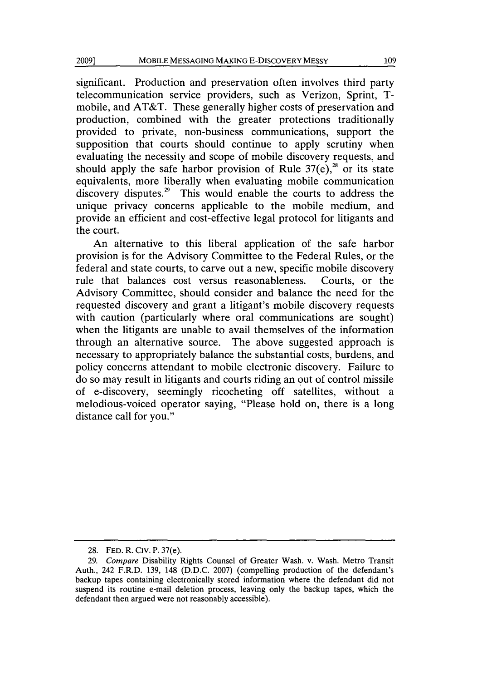significant. Production and preservation often involves third party telecommunication service providers, such as Verizon, Sprint, Tmobile, and AT&T. These generally higher costs of preservation and production, combined with the greater protections traditionally provided to private, non-business communications, support the supposition that courts should continue to apply scrutiny when evaluating the necessity and scope of mobile discovery requests, and should apply the safe harbor provision of Rule  $37(e)$ ,<sup>28</sup> or its state equivalents, more liberally when evaluating mobile communication discovery disputes.<sup>29</sup> This would enable the courts to address the unique privacy concerns applicable to the mobile medium, and provide an efficient and cost-effective legal protocol for litigants and the court.

An alternative to this liberal application of the safe harbor provision is for the Advisory Committee to the Federal Rules, or the federal and state courts, to carve out a new, specific mobile discovery rule that balances cost versus reasonableness. Courts, or the Advisory Committee, should consider and balance the need for the requested discovery and grant a litigant's mobile discovery requests with caution (particularly where oral communications are sought) when the litigants are unable to avail themselves of the information through an alternative source. The above suggested approach is necessary to appropriately balance the substantial costs, burdens, and policy concerns attendant to mobile electronic discovery. Failure to do so may result in litigants and courts riding an out of control missile of e-discovery, seemingly ricocheting off satellites, without a melodious-voiced operator saying, "Please hold on, there is a long distance call for you."

<sup>28.</sup> FED. R. CIV. P. 37(e).

<sup>29.</sup> *Compare* Disability Rights Counsel of Greater Wash. v. Wash. Metro Transit Auth., 242 F.R.D. 139, 148 (D.D.C. 2007) (compelling production of the defendant's backup tapes containing electronically stored information where the defendant did not suspend its routine e-mail deletion process, leaving only the backup tapes, which the defendant then argued were not reasonably accessible).